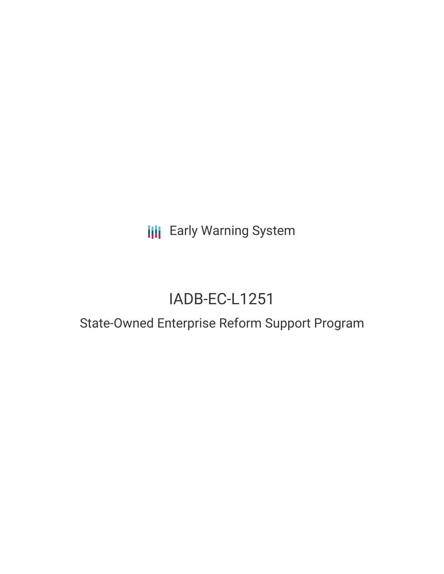**III** Early Warning System

# IADB-EC-L1251

## State-Owned Enterprise Reform Support Program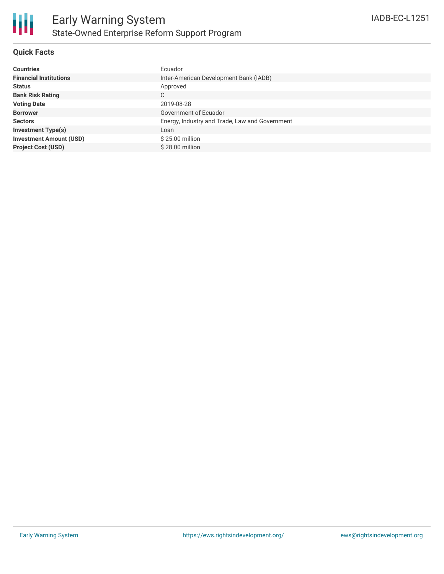

### **Quick Facts**

| <b>Countries</b>               | Ecuador                                        |
|--------------------------------|------------------------------------------------|
| <b>Financial Institutions</b>  | Inter-American Development Bank (IADB)         |
| <b>Status</b>                  | Approved                                       |
| <b>Bank Risk Rating</b>        | C                                              |
| <b>Voting Date</b>             | 2019-08-28                                     |
| <b>Borrower</b>                | Government of Ecuador                          |
| <b>Sectors</b>                 | Energy, Industry and Trade, Law and Government |
| <b>Investment Type(s)</b>      | Loan                                           |
| <b>Investment Amount (USD)</b> | $$25.00$ million                               |
| <b>Project Cost (USD)</b>      | $$28.00$ million                               |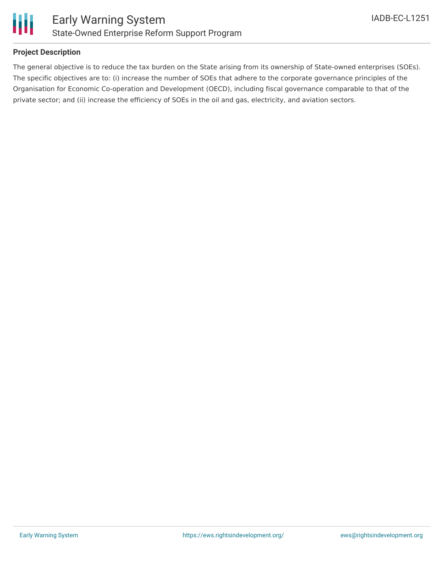

#### **Project Description**

The general objective is to reduce the tax burden on the State arising from its ownership of State-owned enterprises (SOEs). The specific objectives are to: (i) increase the number of SOEs that adhere to the corporate governance principles of the Organisation for Economic Co-operation and Development (OECD), including fiscal governance comparable to that of the private sector; and (ii) increase the efficiency of SOEs in the oil and gas, electricity, and aviation sectors.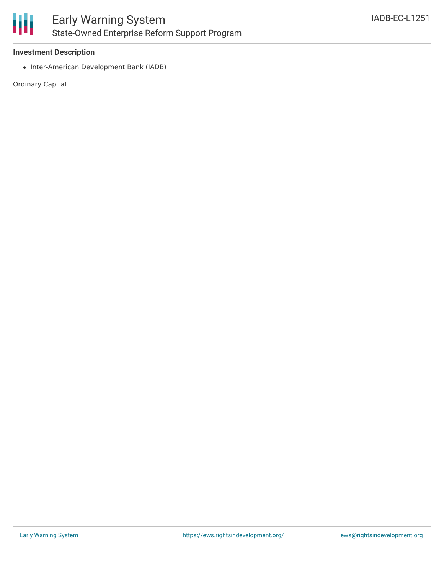

#### **Investment Description**

• Inter-American Development Bank (IADB)

Ordinary Capital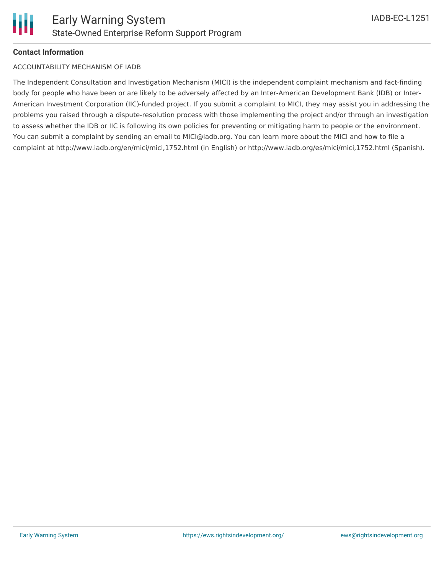### **Contact Information**

#### ACCOUNTABILITY MECHANISM OF IADB

The Independent Consultation and Investigation Mechanism (MICI) is the independent complaint mechanism and fact-finding body for people who have been or are likely to be adversely affected by an Inter-American Development Bank (IDB) or Inter-American Investment Corporation (IIC)-funded project. If you submit a complaint to MICI, they may assist you in addressing the problems you raised through a dispute-resolution process with those implementing the project and/or through an investigation to assess whether the IDB or IIC is following its own policies for preventing or mitigating harm to people or the environment. You can submit a complaint by sending an email to MICI@iadb.org. You can learn more about the MICI and how to file a complaint at http://www.iadb.org/en/mici/mici,1752.html (in English) or http://www.iadb.org/es/mici/mici,1752.html (Spanish).